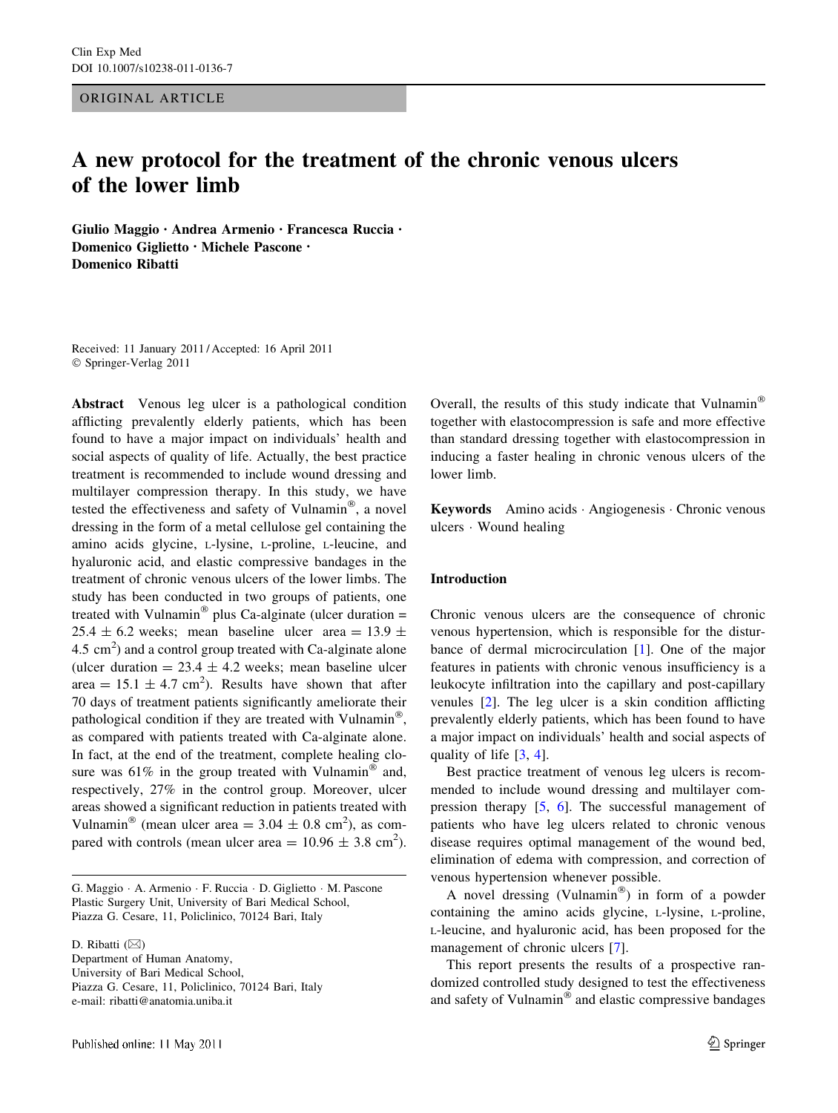ORIGINAL ARTICLE

# A new protocol for the treatment of the chronic venous ulcers of the lower limb

Giulio Maggio • Andrea Armenio • Francesca Ruccia • Domenico Giglietto • Michele Pascone • Domenico Ribatti

Received: 11 January 2011 / Accepted: 16 April 2011 © Springer-Verlag 2011

Abstract Venous leg ulcer is a pathological condition afflicting prevalently elderly patients, which has been found to have a major impact on individuals' health and social aspects of quality of life. Actually, the best practice treatment is recommended to include wound dressing and multilayer compression therapy. In this study, we have tested the effectiveness and safety of Vulnamin®, a novel dressing in the form of a metal cellulose gel containing the amino acids glycine, L-lysine, L-proline, L-leucine, and hyaluronic acid, and elastic compressive bandages in the treatment of chronic venous ulcers of the lower limbs. The study has been conducted in two groups of patients, one treated with Vulnamin<sup>®</sup> plus Ca-alginate (ulcer duration = 25.4  $\pm$  6.2 weeks; mean baseline ulcer area = 13.9  $\pm$  $4.5 \text{ cm}^2$ ) and a control group treated with Ca-alginate alone (ulcer duration  $= 23.4 \pm 4.2$  weeks; mean baseline ulcer area =  $15.1 \pm 4.7$  cm<sup>2</sup>). Results have shown that after 70 days of treatment patients significantly ameliorate their pathological condition if they are treated with Vulnamin®, as compared with patients treated with Ca-alginate alone. In fact, at the end of the treatment, complete healing closure was  $61\%$  in the group treated with Vulnamin<sup>®</sup> and, respectively, 27% in the control group. Moreover, ulcer areas showed a significant reduction in patients treated with Vulnamin<sup>®</sup> (mean ulcer area =  $3.04 \pm 0.8$  cm<sup>2</sup>), as compared with controls (mean ulcer area  $= 10.96 \pm 3.8$  cm<sup>2</sup>).

G. Maggio - A. Armenio - F. Ruccia - D. Giglietto - M. Pascone Plastic Surgery Unit, University of Bari Medical School, Piazza G. Cesare, 11, Policlinico, 70124 Bari, Italy

D. Ribatti  $(\boxtimes)$ 

Department of Human Anatomy, University of Bari Medical School, Piazza G. Cesare, 11, Policlinico, 70124 Bari, Italy e-mail: ribatti@anatomia.uniba.it

Overall, the results of this study indicate that Vulnamin<sup>®</sup> together with elastocompression is safe and more effective than standard dressing together with elastocompression in inducing a faster healing in chronic venous ulcers of the lower limb.

Keywords Amino acids - Angiogenesis - Chronic venous ulcers - Wound healing

### Introduction

Chronic venous ulcers are the consequence of chronic venous hypertension, which is responsible for the disturbance of dermal microcirculation [\[1](#page-4-0)]. One of the major features in patients with chronic venous insufficiency is a leukocyte infiltration into the capillary and post-capillary venules [[2\]](#page-4-0). The leg ulcer is a skin condition afflicting prevalently elderly patients, which has been found to have a major impact on individuals' health and social aspects of quality of life [\[3](#page-5-0), [4\]](#page-5-0).

Best practice treatment of venous leg ulcers is recommended to include wound dressing and multilayer compression therapy [\[5](#page-5-0), [6](#page-5-0)]. The successful management of patients who have leg ulcers related to chronic venous disease requires optimal management of the wound bed, elimination of edema with compression, and correction of venous hypertension whenever possible.

A novel dressing (Vulnamin<sup>®</sup>) in form of a powder containing the amino acids glycine, L-lysine, L-proline, L-leucine, and hyaluronic acid, has been proposed for the management of chronic ulcers [\[7](#page-5-0)].

This report presents the results of a prospective randomized controlled study designed to test the effectiveness and safety of Vulnamin $^{\circledR}$  and elastic compressive bandages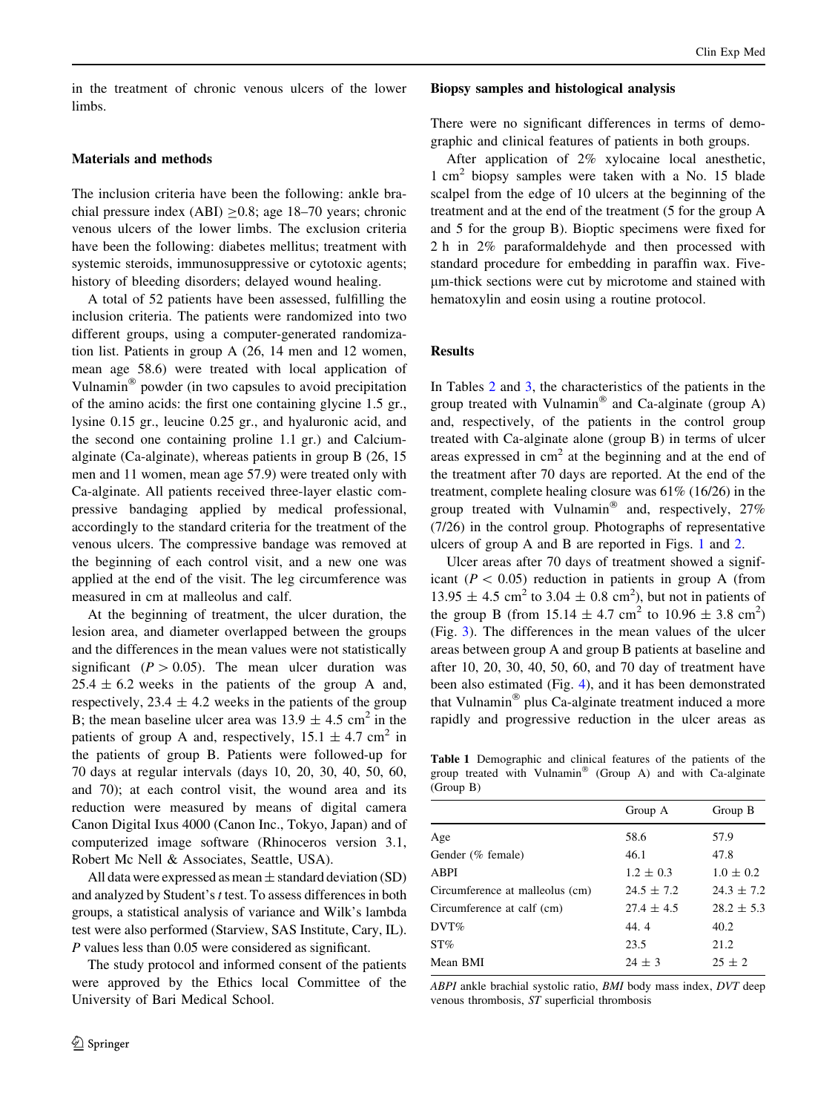in the treatment of chronic venous ulcers of the lower limbs.

## Materials and methods

The inclusion criteria have been the following: ankle brachial pressure index  $(ABI) > 0.8$ ; age 18–70 years; chronic venous ulcers of the lower limbs. The exclusion criteria have been the following: diabetes mellitus; treatment with systemic steroids, immunosuppressive or cytotoxic agents; history of bleeding disorders; delayed wound healing.

A total of 52 patients have been assessed, fulfilling the inclusion criteria. The patients were randomized into two different groups, using a computer-generated randomization list. Patients in group A (26, 14 men and 12 women, mean age 58.6) were treated with local application of Vulnamin<sup>®</sup> powder (in two capsules to avoid precipitation of the amino acids: the first one containing glycine 1.5 gr., lysine 0.15 gr., leucine 0.25 gr., and hyaluronic acid, and the second one containing proline 1.1 gr.) and Calciumalginate (Ca-alginate), whereas patients in group B (26, 15 men and 11 women, mean age 57.9) were treated only with Ca-alginate. All patients received three-layer elastic compressive bandaging applied by medical professional, accordingly to the standard criteria for the treatment of the venous ulcers. The compressive bandage was removed at the beginning of each control visit, and a new one was applied at the end of the visit. The leg circumference was measured in cm at malleolus and calf.

At the beginning of treatment, the ulcer duration, the lesion area, and diameter overlapped between the groups and the differences in the mean values were not statistically significant ( $P > 0.05$ ). The mean ulcer duration was  $25.4 \pm 6.2$  weeks in the patients of the group A and, respectively,  $23.4 \pm 4.2$  weeks in the patients of the group B; the mean baseline ulcer area was  $13.9 \pm 4.5$  cm<sup>2</sup> in the patients of group A and, respectively,  $15.1 \pm 4.7$  cm<sup>2</sup> in the patients of group B. Patients were followed-up for 70 days at regular intervals (days 10, 20, 30, 40, 50, 60, and 70); at each control visit, the wound area and its reduction were measured by means of digital camera Canon Digital Ixus 4000 (Canon Inc., Tokyo, Japan) and of computerized image software (Rhinoceros version 3.1, Robert Mc Nell & Associates, Seattle, USA).

All data were expressed as mean  $\pm$  standard deviation (SD) and analyzed by Student's t test. To assess differences in both groups, a statistical analysis of variance and Wilk's lambda test were also performed (Starview, SAS Institute, Cary, IL). P values less than 0.05 were considered as significant.

The study protocol and informed consent of the patients were approved by the Ethics local Committee of the University of Bari Medical School.

#### Biopsy samples and histological analysis

There were no significant differences in terms of demographic and clinical features of patients in both groups.

After application of 2% xylocaine local anesthetic, 1 cm<sup>2</sup> biopsy samples were taken with a No. 15 blade scalpel from the edge of 10 ulcers at the beginning of the treatment and at the end of the treatment (5 for the group A and 5 for the group B). Bioptic specimens were fixed for 2 h in 2% paraformaldehyde and then processed with standard procedure for embedding in paraffin wax. Fivelm-thick sections were cut by microtome and stained with hematoxylin and eosin using a routine protocol.

## Results

In Tables [2](#page-2-0) and [3](#page-2-0), the characteristics of the patients in the group treated with Vulnamin<sup>®</sup> and Ca-alginate (group A) and, respectively, of the patients in the control group treated with Ca-alginate alone (group B) in terms of ulcer areas expressed in  $cm<sup>2</sup>$  at the beginning and at the end of the treatment after 70 days are reported. At the end of the treatment, complete healing closure was 61% (16/26) in the group treated with Vulnamin<sup>®</sup> and, respectively,  $27\%$ (7/26) in the control group. Photographs of representative ulcers of group A and B are reported in Figs. [1](#page-3-0) and [2](#page-3-0).

Ulcer areas after 70 days of treatment showed a significant ( $P < 0.05$ ) reduction in patients in group A (from  $13.95 \pm 4.5$  cm<sup>2</sup> to  $3.04 \pm 0.8$  cm<sup>2</sup>), but not in patients of the group B (from  $15.14 \pm 4.7$  cm<sup>2</sup> to  $10.96 \pm 3.8$  cm<sup>2</sup>) (Fig. [3\)](#page-3-0). The differences in the mean values of the ulcer areas between group A and group B patients at baseline and after 10, 20, 30, 40, 50, 60, and 70 day of treatment have been also estimated (Fig. [4](#page-3-0)), and it has been demonstrated that Vulnamin® plus Ca-alginate treatment induced a more rapidly and progressive reduction in the ulcer areas as

Table 1 Demographic and clinical features of the patients of the group treated with Vulnamin<sup>®</sup> (Group A) and with Ca-alginate (Group B)

|                                 | Group A        | Group B        |
|---------------------------------|----------------|----------------|
| Age                             | 58.6           | 57.9           |
| Gender (% female)               | 46.1           | 47.8           |
| ABPI                            | $1.2 \pm 0.3$  | $1.0 \pm 0.2$  |
| Circumference at malleolus (cm) | $24.5 \pm 7.2$ | $24.3 \pm 7.2$ |
| Circumference at calf (cm)      | $27.4 \pm 4.5$ | $28.2 \pm 5.3$ |
| DVT%                            | 44.4           | 40.2           |
| $ST\%$                          | 23.5           | 21.2           |
| Mean BMI                        | $24 \pm 3$     | $25 + 2$       |

ABPI ankle brachial systolic ratio, BMI body mass index, DVT deep venous thrombosis, ST superficial thrombosis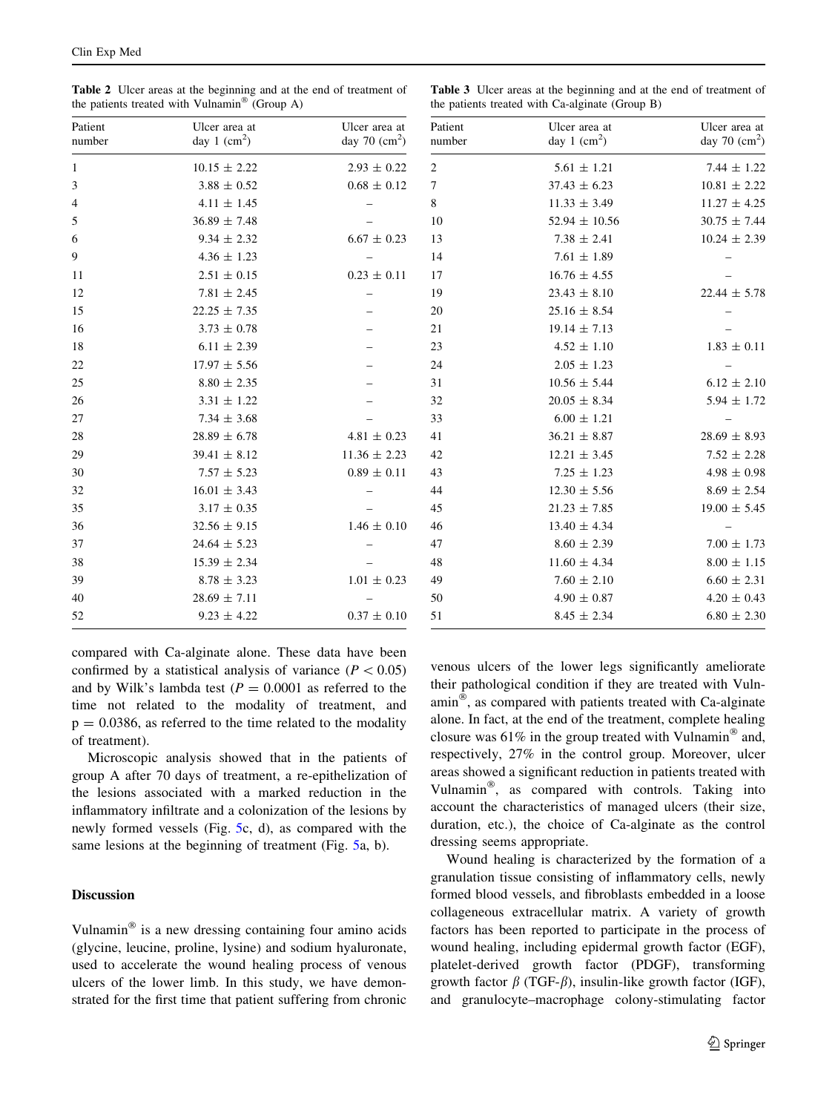<span id="page-2-0"></span>Table 2 Ulcer areas at the beginning and at the end of treatment of the patients treated with Vulnamin<sup>®</sup> (Group A)

Table 3 Ulcer areas at the beginning and at the end of treatment of the patients treated with Ca-alginate (Group B)

| Patient<br>number | Ulcer area at<br>day 1 $\text{(cm}^2\text{)}$ | Ulcer area at<br>day 70 $\text{(cm}^2\text{)}$ |
|-------------------|-----------------------------------------------|------------------------------------------------|
| 1                 | $10.15 \pm 2.22$                              | $2.93 \pm 0.22$                                |
| 3                 | $3.88 \pm 0.52$                               | $0.68 \pm 0.12$                                |
| $\overline{4}$    | $4.11 \pm 1.45$                               |                                                |
| 5                 | $36.89 \pm 7.48$                              |                                                |
| 6                 | $9.34 \pm 2.32$                               | $6.67 \pm 0.23$                                |
| 9                 | $4.36 \pm 1.23$                               |                                                |
| 11                | $2.51 \pm 0.15$                               | $0.23 \pm 0.11$                                |
| 12                | $7.81 \pm 2.45$                               |                                                |
| 15                | $22.25 \pm 7.35$                              |                                                |
| 16                | $3.73 \pm 0.78$                               |                                                |
| 18                | $6.11 \pm 2.39$                               |                                                |
| 22                | $17.97 \pm 5.56$                              |                                                |
| 25                | $8.80 \pm 2.35$                               |                                                |
| 26                | $3.31 \pm 1.22$                               |                                                |
| 27                | $7.34 \pm 3.68$                               |                                                |
| 28                | $28.89 \pm 6.78$                              | $4.81 \pm 0.23$                                |
| 29                | $39.41 \pm 8.12$                              | $11.36 \pm 2.23$                               |
| 30                | $7.57 \pm 5.23$                               | $0.89 \pm 0.11$                                |
| 32                | $16.01 \pm 3.43$                              |                                                |
| 35                | $3.17 \pm 0.35$                               |                                                |
| 36                | $32.56 \pm 9.15$                              | $1.46 \pm 0.10$                                |
| 37                | $24.64 \pm 5.23$                              |                                                |
| 38                | $15.39 \pm 2.34$                              |                                                |
| 39                | $8.78 \pm 3.23$                               | $1.01 \pm 0.23$                                |
| 40                | $28.69 \pm 7.11$                              |                                                |
| 52                | $9.23 \pm 4.22$                               | $0.37 \pm 0.10$                                |

| ea at<br>$\text{cm}^2$ ) | Patient<br>number | Ulcer area at<br>day 1 $\text{(cm}^2\text{)}$ | Ulcer area at<br>day 70 $\text{(cm}^2\text{)}$ |
|--------------------------|-------------------|-----------------------------------------------|------------------------------------------------|
| 0.22                     | 2                 | $5.61 \pm 1.21$                               | $7.44 \pm 1.22$                                |
| 0.12                     | $\tau$            | $37.43 \pm 6.23$                              | $10.81 \pm 2.22$                               |
|                          | 8                 | $11.33 \pm 3.49$                              | $11.27 \pm 4.25$                               |
|                          | 10                | $52.94 \pm 10.56$                             | $30.75 \pm 7.44$                               |
| 0.23                     | 13                | $7.38 \pm 2.41$                               | $10.24 \pm 2.39$                               |
|                          | 14                | $7.61 \pm 1.89$                               |                                                |
| 0.11                     | 17                | $16.76 \pm 4.55$                              |                                                |
|                          | 19                | $23.43 \pm 8.10$                              | $22.44 \pm 5.78$                               |
|                          | 20                | $25.16 \pm 8.54$                              |                                                |
|                          | 21                | $19.14 \pm 7.13$                              |                                                |
|                          | 23                | $4.52 \pm 1.10$                               | $1.83 \pm 0.11$                                |
|                          | 24                | $2.05 \pm 1.23$                               |                                                |
|                          | 31                | $10.56 \pm 5.44$                              | $6.12 \pm 2.10$                                |
|                          | 32                | $20.05 \pm 8.34$                              | $5.94 \pm 1.72$                                |
|                          | 33                | $6.00 \pm 1.21$                               |                                                |
| 0.23                     | 41                | $36.21 \pm 8.87$                              | $28.69 \pm 8.93$                               |
| 2.23                     | 42                | $12.21 \pm 3.45$                              | $7.52 \pm 2.28$                                |
| 0.11                     | 43                | $7.25 \pm 1.23$                               | $4.98 \pm 0.98$                                |
|                          | 44                | $12.30 \pm 5.56$                              | $8.69 \pm 2.54$                                |
|                          | 45                | $21.23 \pm 7.85$                              | $19.00 \pm 5.45$                               |
| 0.10                     | 46                | $13.40 \pm 4.34$                              |                                                |
|                          | 47                | $8.60 \pm 2.39$                               | $7.00 \pm 1.73$                                |
|                          | 48                | $11.60 \pm 4.34$                              | $8.00 \pm 1.15$                                |
| 0.23                     | 49                | $7.60 \pm 2.10$                               | $6.60 \pm 2.31$                                |
|                          | 50                | $4.90 \pm 0.87$                               | $4.20 \pm 0.43$                                |
| 0.10                     | 51                | $8.45 \pm 2.34$                               | $6.80 \pm 2.30$                                |

compared with Ca-alginate alone. These data have been confirmed by a statistical analysis of variance ( $P < 0.05$ ) and by Wilk's lambda test  $(P = 0.0001)$  as referred to the time not related to the modality of treatment, and  $p = 0.0386$ , as referred to the time related to the modality of treatment).

Microscopic analysis showed that in the patients of group A after 70 days of treatment, a re-epithelization of the lesions associated with a marked reduction in the inflammatory infiltrate and a colonization of the lesions by newly formed vessels (Fig. [5c](#page-4-0), d), as compared with the same lesions at the beginning of treatment (Fig. [5a](#page-4-0), b).

## **Discussion**

Vulnamin $^{\circledR}$  is a new dressing containing four amino acids (glycine, leucine, proline, lysine) and sodium hyaluronate, used to accelerate the wound healing process of venous ulcers of the lower limb. In this study, we have demonstrated for the first time that patient suffering from chronic

venous ulcers of the lower legs significantly ameliorate their pathological condition if they are treated with Vuln- $\min^{\otimes}$ , as compared with patients treated with Ca-alginate alone. In fact, at the end of the treatment, complete healing closure was  $61\%$  in the group treated with Vulnamin<sup>®</sup> and, respectively, 27% in the control group. Moreover, ulcer areas showed a significant reduction in patients treated with Vulnamin $\mathcal{F}$ , as compared with controls. Taking into account the characteristics of managed ulcers (their size, duration, etc.), the choice of Ca-alginate as the control dressing seems appropriate.

Wound healing is characterized by the formation of a granulation tissue consisting of inflammatory cells, newly formed blood vessels, and fibroblasts embedded in a loose collageneous extracellular matrix. A variety of growth factors has been reported to participate in the process of wound healing, including epidermal growth factor (EGF), platelet-derived growth factor (PDGF), transforming growth factor  $\beta$  (TGF- $\beta$ ), insulin-like growth factor (IGF), and granulocyte–macrophage colony-stimulating factor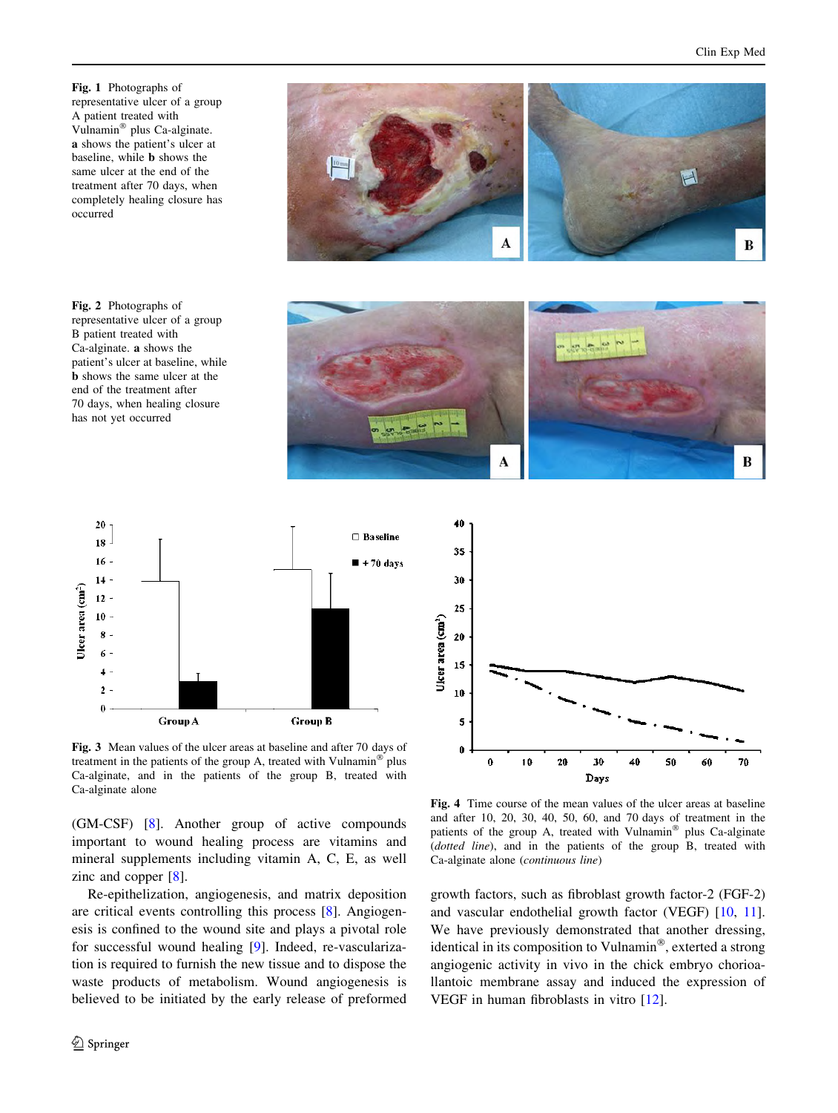<span id="page-3-0"></span>Fig. 1 Photographs of representative ulcer of a group A patient treated with Vulnamin<sup>®</sup> plus Ca-alginate. a shows the patient's ulcer at baseline, while b shows the same ulcer at the end of the treatment after 70 days, when completely healing closure has occurred

Fig. 2 Photographs of representative ulcer of a group B patient treated with Ca-alginate. a shows the patient's ulcer at baseline, while b shows the same ulcer at the end of the treatment after 70 days, when healing closure has not yet occurred





40



Fig. 3 Mean values of the ulcer areas at baseline and after 70 days of treatment in the patients of the group A, treated with Vulnamin<sup>®</sup> plus Ca-alginate, and in the patients of the group B, treated with Ca-alginate alone

(GM-CSF) [[8\]](#page-5-0). Another group of active compounds important to wound healing process are vitamins and mineral supplements including vitamin A, C, E, as well zinc and copper [[8\]](#page-5-0).

Re-epithelization, angiogenesis, and matrix deposition are critical events controlling this process [[8\]](#page-5-0). Angiogenesis is confined to the wound site and plays a pivotal role for successful wound healing [[9\]](#page-5-0). Indeed, re-vascularization is required to furnish the new tissue and to dispose the waste products of metabolism. Wound angiogenesis is believed to be initiated by the early release of preformed



Fig. 4 Time course of the mean values of the ulcer areas at baseline and after 10, 20, 30, 40, 50, 60, and 70 days of treatment in the patients of the group A, treated with Vulnamin $^{\circledR}$  plus Ca-alginate (dotted line), and in the patients of the group B, treated with Ca-alginate alone (continuous line)

growth factors, such as fibroblast growth factor-2 (FGF-2) and vascular endothelial growth factor (VEGF) [[10,](#page-5-0) [11](#page-5-0)]. We have previously demonstrated that another dressing, identical in its composition to Vulnamin $<sup>®</sup>$ , exterted a strong</sup> angiogenic activity in vivo in the chick embryo chorioallantoic membrane assay and induced the expression of VEGF in human fibroblasts in vitro [[12\]](#page-5-0).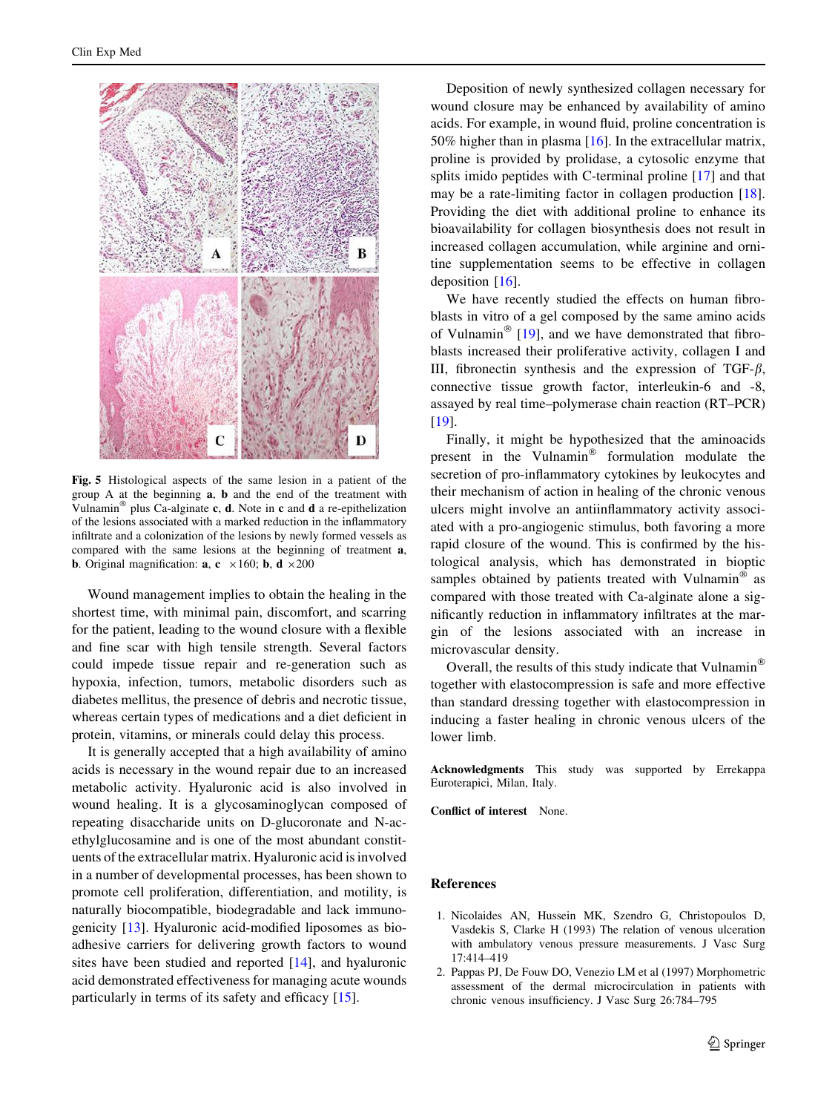<span id="page-4-0"></span>

Fig. 5 Histological aspects of the same lesion in a patient of the group A at the beginning a, b and the end of the treatment with Vulnamin<sup>®</sup> plus Ca-alginate c, d. Note in c and d a re-epithelization of the lesions associated with a marked reduction in the inflammatory infiltrate and a colonization of the lesions by newly formed vessels as compared with the same lesions at the beginning of treatment a, **b.** Original magnification: **a**, **c**  $\times$ 160; **b**, **d**  $\times$ 200

Wound management implies to obtain the healing in the shortest time, with minimal pain, discomfort, and scarring for the patient, leading to the wound closure with a flexible and fine scar with high tensile strength. Several factors could impede tissue repair and re-generation such as hypoxia, infection, tumors, metabolic disorders such as diabetes mellitus, the presence of debris and necrotic tissue, whereas certain types of medications and a diet deficient in protein, vitamins, or minerals could delay this process.

It is generally accepted that a high availability of amino acids is necessary in the wound repair due to an increased metabolic activity. Hyaluronic acid is also involved in wound healing. It is a glycosaminoglycan composed of repeating disaccharide units on D-glucoronate and N-acethylglucosamine and is one of the most abundant constituents of the extracellular matrix. Hyaluronic acid is involved in a number of developmental processes, has been shown to promote cell proliferation, differentiation, and motility, is naturally biocompatible, biodegradable and lack immunogenicity [\[13](#page-5-0)]. Hyaluronic acid-modified liposomes as bioadhesive carriers for delivering growth factors to wound sites have been studied and reported [[14\]](#page-5-0), and hyaluronic acid demonstrated effectiveness for managing acute wounds particularly in terms of its safety and efficacy [\[15](#page-5-0)].

Deposition of newly synthesized collagen necessary for wound closure may be enhanced by availability of amino acids. For example, in wound fluid, proline concentration is 50% higher than in plasma [\[16](#page-5-0)]. In the extracellular matrix, proline is provided by prolidase, a cytosolic enzyme that splits imido peptides with C-terminal proline [\[17](#page-5-0)] and that may be a rate-limiting factor in collagen production [\[18](#page-5-0)]. Providing the diet with additional proline to enhance its bioavailability for collagen biosynthesis does not result in increased collagen accumulation, while arginine and ornitine supplementation seems to be effective in collagen deposition [[16](#page-5-0)].

We have recently studied the effects on human fibroblasts in vitro of a gel composed by the same amino acids of Vulnamin<sup>®</sup> [[19\]](#page-5-0), and we have demonstrated that fibroblasts increased their proliferative activity, collagen I and III, fibronectin synthesis and the expression of TGF- $\beta$ , connective tissue growth factor, interleukin-6 and -8, assayed by real time–polymerase chain reaction (RT–PCR) [\[19](#page-5-0)].

Finally, it might be hypothesized that the aminoacids present in the Vulnamin $^{\circledR}$  formulation modulate the secretion of pro-inflammatory cytokines by leukocytes and their mechanism of action in healing of the chronic venous ulcers might involve an antiinflammatory activity associated with a pro-angiogenic stimulus, both favoring a more rapid closure of the wound. This is confirmed by the histological analysis, which has demonstrated in bioptic samples obtained by patients treated with Vulnamin<sup>®</sup> as compared with those treated with Ca-alginate alone a significantly reduction in inflammatory infiltrates at the margin of the lesions associated with an increase in microvascular density.

Overall, the results of this study indicate that Vulnamin together with elastocompression is safe and more effective than standard dressing together with elastocompression in inducing a faster healing in chronic venous ulcers of the lower limb.

Acknowledgments This study was supported by Errekappa Euroterapici, Milan, Italy.

Conflict of interest None.

# References

- 1. Nicolaides AN, Hussein MK, Szendro G, Christopoulos D, Vasdekis S, Clarke H (1993) The relation of venous ulceration with ambulatory venous pressure measurements. J Vasc Surg 17:414–419
- 2. Pappas PJ, De Fouw DO, Venezio LM et al (1997) Morphometric assessment of the dermal microcirculation in patients with chronic venous insufficiency. J Vasc Surg 26:784–795